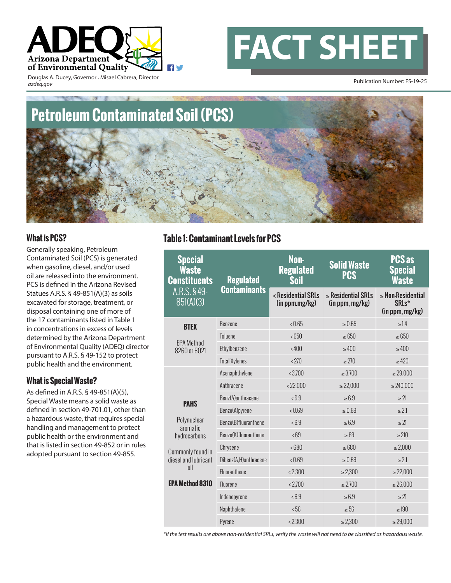



Douglas A. Ducey, Governor • Misael Cabrera, Director *azdeq.gov*

Publication Number: FS-19-25

# **Petroleum Contaminated Soil (PCS)**

#### **What is PCS?**

Generally speaking, Petroleum Contaminated Soil (PCS) is generated when gasoline, diesel, and/or used oil are released into the environment. PCS is defined in the Arizona Revised Statues A.R.S. § 49-851(A)(3) as soils excavated for storage, treatment, or disposal containing one of more of the 17 contaminants listed in Table 1 in concentrations in excess of levels determined by the Arizona Department of Environmental Quality (ADEQ) director pursuant to A.R.S. § 49-152 to protect public health and the environment.

#### **What is Special Waste?**

As defined in A.R.S. § 49-851(A)(5), Special Waste means a solid waste as defined in section 49-701.01, other than a hazardous waste, that requires special handling and management to protect public health or the environment and that is listed in section 49-852 or in rules adopted pursuant to section 49-855.

## **Table 1: Contaminant Levels for PCS**

| <b>Special</b><br>Waste<br><b>Constituents</b><br>A.R.S. §49-<br>851(A)(3) | <b>Regulated</b><br>Contaminants | Non-<br><b>Regulated</b><br>Soil     | <b>Solid Waste</b><br><b>PCS</b>           | <b>PCS as</b><br><b>Special</b><br>Waste                        |
|----------------------------------------------------------------------------|----------------------------------|--------------------------------------|--------------------------------------------|-----------------------------------------------------------------|
|                                                                            |                                  | < Residential SRLs<br>(in ppm.mg/kg) | $\geq$ Residential SRLs<br>(in ppm, mg/kg) | $\geq$ Non-Residential<br>SRL <sub>s</sub> *<br>(in ppm, mg/kg) |
| <b>BTEX</b><br><b>EPA Method</b><br>8260 or 8021                           | Benzene                          | 0.65                                 | $\ge 0.65$                                 | $\geq 1.4$                                                      |
|                                                                            | <b>Toluene</b>                   | < 650                                | $\geq 650$                                 | $\geq 650$                                                      |
|                                                                            | Ethylbenzene                     | & 400                                | >400                                       | $\geq 400$                                                      |
|                                                                            | <b>Total Xylenes</b>             | < 270                                | $\geq$ 270                                 | $\geq 420$                                                      |
| <b>PAHS</b><br>Polynuclear<br>aromatic<br>hydrocarbons                     | Acenaphthylene                   | < 3,700                              | $\geq 3,700$                               | $\geq 29,000$                                                   |
|                                                                            | Anthracene                       | < 22,000                             | $\geq 22,000$                              | $\geq 240,000$                                                  |
|                                                                            | Benz(A)anthracene                | 5.3                                  | $\geq 6.9$                                 | $\geq$ 21                                                       |
|                                                                            | Benzo(A)pyrene                   | 0.69                                 | $\geq 0.69$                                | $\geq$ 2.1                                                      |
|                                                                            | Benzo(B)fluoranthene             | 5.3                                  | $\geq 6.9$                                 | $\geq$ 21                                                       |
|                                                                            | Benzo(K)fluoranthene             | 58                                   | $\geq 69$                                  | $\geq 210$                                                      |
| Commonly found in<br>diesel and lubricant<br>oil                           | Chrysene                         | < 680                                | $\geq 680$                                 | $\geq 2,000$                                                    |
|                                                                            | Dibenz(A,H)anthracene            | 0.69                                 | $\ge 0.69$                                 | $\geq 2.1$                                                      |
|                                                                            | <b>Fluoranthene</b>              | < 2.300                              | $\geq 2,300$                               | $\geq 22,000$                                                   |
| <b>EPA Method 8310</b>                                                     | Fluorene                         | & 2.700                              | $\geq 2.700$                               | $\geq 26,000$                                                   |
|                                                                            | Indenopyrene                     | 5.3                                  | $\geq 6.9$                                 | $\geq$ 21                                                       |
|                                                                            | Naphthalene                      | 56 <sub>6</sub>                      | $\geq 56$                                  | $\geq 190$                                                      |
|                                                                            | Pyrene                           | & 2,300                              | $\geq 2,300$                               | $\geq 29,000$                                                   |

*\*If the test results are above non-residential SRLs, verify the waste will not need to be classified as hazardous waste.*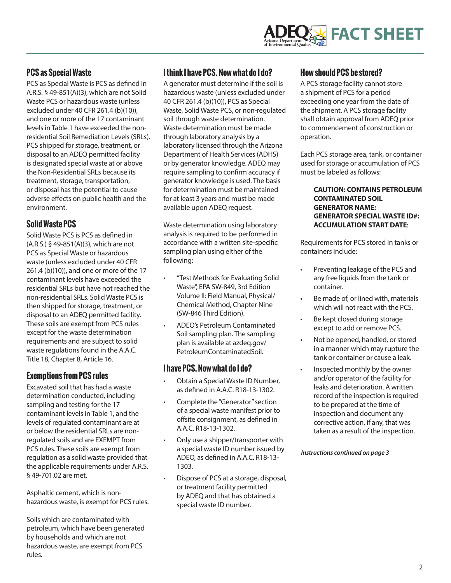# **FACT SHEET**

#### **PCS as Special Waste**

PCS as Special Waste is PCS as defined in A.R.S. § 49-851(A)(3), which are not Solid Waste PCS or hazardous waste (unless excluded under 40 CFR 261.4 (b)(10)), and one or more of the 17 contaminant levels in Table 1 have exceeded the nonresidential Soil Remediation Levels (SRLs). PCS shipped for storage, treatment, or disposal to an ADEQ permitted facility is designated special waste at or above the Non-Residential SRLs because its treatment, storage, transportation, or disposal has the potential to cause adverse effects on public health and the environment.

### **Solid Waste PCS**

Solid Waste PCS is PCS as defined in (A.R.S.) § 49-851(A)(3), which are not PCS as Special Waste or hazardous waste (unless excluded under 40 CFR 261.4 (b)(10)), and one or more of the 17 contaminant levels have exceeded the residential SRLs but have not reached the non-residential SRLs. Solid Waste PCS is then shipped for storage, treatment, or disposal to an ADEQ permitted facility. These soils are exempt from PCS rules except for the waste determination requirements and are subject to solid waste regulations found in the A.A.C. Title 18, Chapter 8, Article 16.

#### **Exemptions from PCS rules**

Excavated soil that has had a waste determination conducted, including sampling and testing for the 17 contaminant levels in Table 1, and the levels of regulated contaminant are at or below the residential SRLs are nonregulated soils and are EXEMPT from PCS rules. These soils are exempt from regulation as a solid waste provided that the applicable requirements under A.R.S. § 49-701.02 are met.

Asphaltic cement, which is nonhazardous waste, is exempt for PCS rules.

Soils which are contaminated with petroleum, which have been generated by households and which are not hazardous waste, are exempt from PCS rules.

### **I think I have PCS. Now what do I do?**

A generator must determine if the soil is hazardous waste (unless excluded under 40 CFR 261.4 (b)(10)), PCS as Special Waste, Solid Waste PCS, or non-regulated soil through waste determination. Waste determination must be made through laboratory analysis by a laboratory licensed through the Arizona Department of Health Services (ADHS) or by generator knowledge. ADEQ may require sampling to confirm accuracy if generator knowledge is used. The basis for determination must be maintained for at least 3 years and must be made available upon ADEQ request.

Waste determination using laboratory analysis is required to be performed in accordance with a written site-specific sampling plan using either of the following:

- "Test Methods for Evaluating Solid Waste", EPA SW-849, 3rd Edition Volume II: Field Manual, Physical/ Chemical Method, Chapter Nine (SW-846 Third Edition).
- ADEQ's Petroleum Contaminated Soil sampling plan. The sampling plan is available at azdeq.gov/ PetroleumContaminatedSoil.

#### **I have PCS. Now what do I do?**

- Obtain a Special Waste ID Number, as defined in A.A.C. R18-13-1302.
- Complete the "Generator" section of a special waste manifest prior to offsite consignment, as defined in A.A.C. R18-13-1302.
- Only use a shipper/transporter with a special waste ID number issued by ADEQ, as defined in A.A.C. R18-13- 1303.
- Dispose of PCS at a storage, disposal, or treatment facility permitted by ADEQ and that has obtained a special waste ID number.

#### **How should PCS be stored?**

A PCS storage facility cannot store a shipment of PCS for a period exceeding one year from the date of the shipment. A PCS storage facility shall obtain approval from ADEQ prior to commencement of construction or operation.

Each PCS storage area, tank, or container used for storage or accumulation of PCS must be labeled as follows:

#### **CAUTION: CONTAINS PETROLEUM CONTAMINATED SOIL GENERATOR NAME: GENERATOR SPECIAL WASTE ID#: ACCUMULATION START DATE**:

Requirements for PCS stored in tanks or containers include:

- Preventing leakage of the PCS and any free liquids from the tank or container.
- Be made of, or lined with, materials which will not react with the PCS.
- Be kept closed during storage except to add or remove PCS.
- Not be opened, handled, or stored in a manner which may rupture the tank or container or cause a leak.
- Inspected monthly by the owner and/or operator of the facility for leaks and deterioration. A written record of the inspection is required to be prepared at the time of inspection and document any corrective action, if any, that was taken as a result of the inspection.

*Instructions continued on page 3*